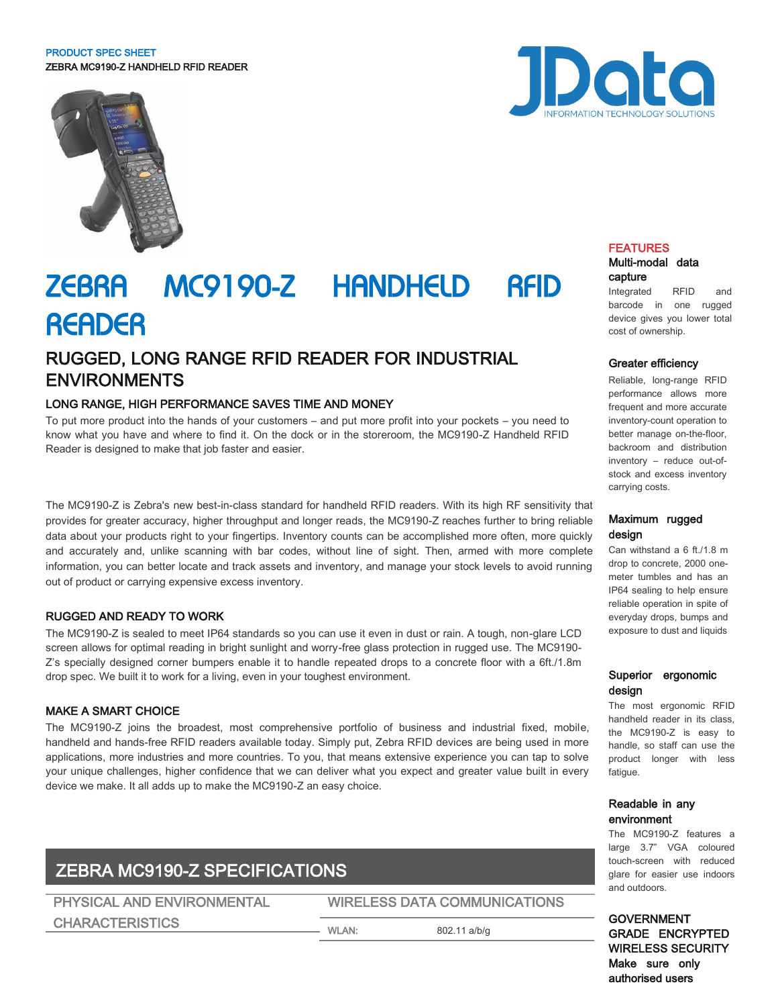#### PRODUCT SPEC SHEET ZEBRA MC9190-Z HANDHELD RFID READER



# ZEBRA MC9190-Z HANDHELD RFID **READER**

# RUGGED, LONG RANGE RFID READER FOR INDUSTRIAL ENVIRONMENTS

# LONG RANGE, HIGH PERFORMANCE SAVES TIME AND MONEY

To put more product into the hands of your customers – and put more profit into your pockets – you need to know what you have and where to find it. On the dock or in the storeroom, the MC9190-Z Handheld RFID Reader is designed to make that job faster and easier.

The MC9190-Z is Zebra's new best-in-class standard for handheld RFID readers. With its high RF sensitivity that provides for greater accuracy, higher throughput and longer reads, the MC9190-Z reaches further to bring reliable data about your products right to your fingertips. Inventory counts can be accomplished more often, more quickly and accurately and, unlike scanning with bar codes, without line of sight. Then, armed with more complete information, you can better locate and track assets and inventory, and manage your stock levels to avoid running out of product or carrying expensive excess inventory.

# RUGGED AND READY TO WORK

The MC9190-Z is sealed to meet IP64 standards so you can use it even in dust or rain. A tough, non-glare LCD screen allows for optimal reading in bright sunlight and worry-free glass protection in rugged use. The MC9190- Z's specially designed corner bumpers enable it to handle repeated drops to a concrete floor with a 6ft./1.8m drop spec. We built it to work for a living, even in your toughest environment.

## MAKE A SMART CHOICE

The MC9190-Z joins the broadest, most comprehensive portfolio of business and industrial fixed, mobile, handheld and hands-free RFID readers available today. Simply put, Zebra RFID devices are being used in more applications, more industries and more countries. To you, that means extensive experience you can tap to solve your unique challenges, higher confidence that we can deliver what you expect and greater value built in every device we make. It all adds up to make the MC9190-Z an easy choice.

# ZEBRA MC9190-Z SPECIFICATIONS

PHYSICAL AND ENVIRONMENTAL WIRELESS DATA COMMUNICATIONS CHARACTERISTICS WLAN: 802.11 a/b/g

Data

#### FEATURES Multi-modal data

# capture

Integrated RFID and barcode in one rugged device gives you lower total cost of ownership.

### Greater efficiency

Reliable, long-range RFID performance allows more frequent and more accurate inventory-count operation to better manage on-the-floor, backroom and distribution inventory – reduce out-ofstock and excess inventory carrying costs.

#### Maximum rugged design

Can withstand a 6 ft./1.8 m drop to concrete, 2000 onemeter tumbles and has an IP64 sealing to help ensure reliable operation in spite of everyday drops, bumps and exposure to dust and liquids

## Superior ergonomic design

The most ergonomic RFID handheld reader in its class, the MC9190-Z is easy to handle, so staff can use the product longer with less fatigue.

# Readable in any environment

The MC9190-Z features a large 3.7" VGA coloured touch-screen with reduced glare for easier use indoors and outdoors.

GOVERNMENT GRADE ENCRYPTED WIRELESS SECURITY Make sure only authorised users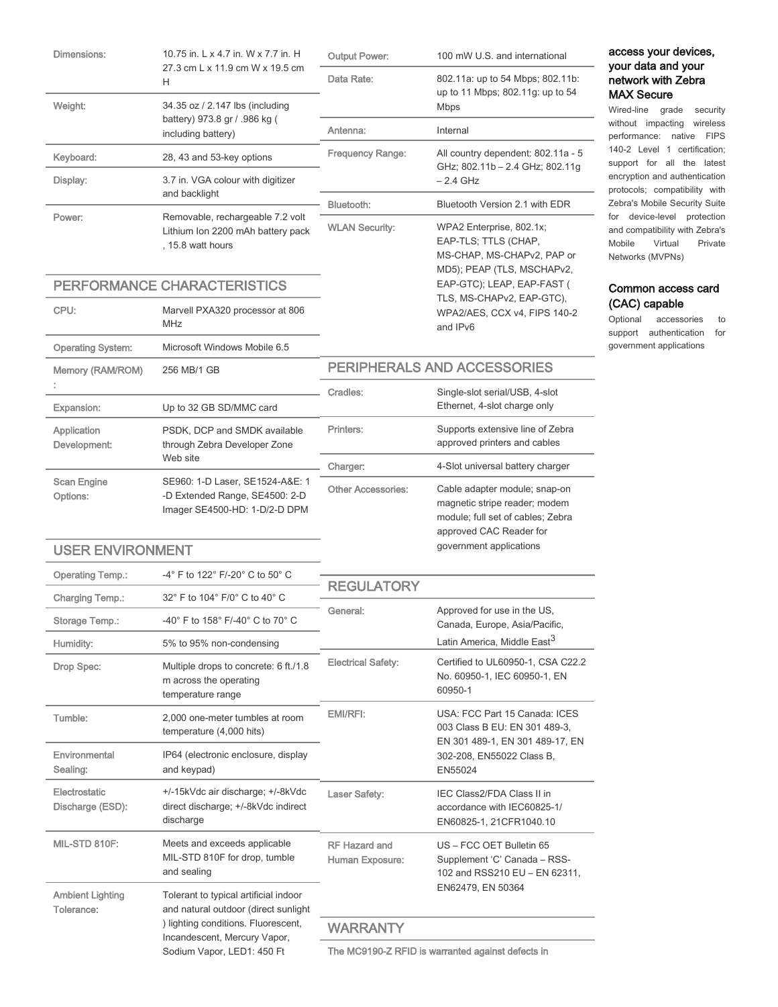| <b>Dimensions:</b>                | 10.75 in. L x 4.7 in. W x 7.7 in. H<br>27.3 cm L x 11.9 cm W x 19.5 cm<br>H                        | <b>Output Power:</b>                              | 100 mW U.S. and international                                                                                                  | access your devices,<br>your data and your<br>network with Zebra<br><b>MAX Secure</b>                                                                                                                                                                                              |
|-----------------------------------|----------------------------------------------------------------------------------------------------|---------------------------------------------------|--------------------------------------------------------------------------------------------------------------------------------|------------------------------------------------------------------------------------------------------------------------------------------------------------------------------------------------------------------------------------------------------------------------------------|
|                                   |                                                                                                    | Data Rate:                                        | 802.11a: up to 54 Mbps; 802.11b:<br>up to 11 Mbps; 802.11g: up to 54<br><b>Mbps</b>                                            |                                                                                                                                                                                                                                                                                    |
| Weight:                           | 34.35 oz / 2.147 lbs (including<br>battery) 973.8 gr / .986 kg (<br>including battery)             |                                                   |                                                                                                                                | Wired-line grade<br>security<br>without impacting wireless<br>performance: native<br><b>FIPS</b>                                                                                                                                                                                   |
|                                   |                                                                                                    | Antenna:                                          | Internal                                                                                                                       |                                                                                                                                                                                                                                                                                    |
| Keyboard:                         | 28, 43 and 53-key options                                                                          | <b>Frequency Range:</b>                           | All country dependent: 802.11a - 5<br>GHz; 802.11b - 2.4 GHz; 802.11g                                                          | 140-2 Level 1 certification;<br>support for all the latest<br>encryption and authentication<br>protocols; compatibility with<br>Zebra's Mobile Security Suite<br>for device-level protection<br>and compatibility with Zebra's<br>Mobile<br>Virtual<br>Private<br>Networks (MVPNs) |
| Display:                          | 3.7 in. VGA colour with digitizer<br>and backlight                                                 |                                                   | $-2.4$ GHz                                                                                                                     |                                                                                                                                                                                                                                                                                    |
| Power:                            | Removable, rechargeable 7.2 volt<br>Lithium Ion 2200 mAh battery pack<br>, 15.8 watt hours         | Bluetooth:                                        | Bluetooth Version 2.1 with EDR                                                                                                 |                                                                                                                                                                                                                                                                                    |
|                                   |                                                                                                    | <b>WLAN Security:</b>                             | WPA2 Enterprise, 802.1x;<br>EAP-TLS; TTLS (CHAP,<br>MS-CHAP, MS-CHAPv2, PAP or<br>MD5); PEAP (TLS, MSCHAPv2,                   |                                                                                                                                                                                                                                                                                    |
|                                   | PERFORMANCE CHARACTERISTICS                                                                        |                                                   | EAP-GTC); LEAP, EAP-FAST (                                                                                                     | Common access card                                                                                                                                                                                                                                                                 |
| CPU:                              | Marvell PXA320 processor at 806<br>MHz                                                             |                                                   | TLS, MS-CHAPv2, EAP-GTC),<br>WPA2/AES, CCX v4, FIPS 140-2<br>and IPv6                                                          | (CAC) capable<br>Optional<br>accessories<br>to<br>support authentication for                                                                                                                                                                                                       |
| <b>Operating System:</b>          | Microsoft Windows Mobile 6.5                                                                       |                                                   |                                                                                                                                | government applications                                                                                                                                                                                                                                                            |
| Memory (RAM/ROM)                  | 256 MB/1 GB                                                                                        |                                                   | PERIPHERALS AND ACCESSORIES                                                                                                    |                                                                                                                                                                                                                                                                                    |
|                                   |                                                                                                    | Cradles:                                          | Single-slot serial/USB, 4-slot                                                                                                 |                                                                                                                                                                                                                                                                                    |
| Expansion:                        | Up to 32 GB SD/MMC card                                                                            |                                                   | Ethernet, 4-slot charge only                                                                                                   |                                                                                                                                                                                                                                                                                    |
| Application<br>Development:       | PSDK, DCP and SMDK available<br>through Zebra Developer Zone<br>Web site                           | Printers:                                         | Supports extensive line of Zebra<br>approved printers and cables                                                               |                                                                                                                                                                                                                                                                                    |
|                                   |                                                                                                    | Charger:                                          | 4-Slot universal battery charger                                                                                               |                                                                                                                                                                                                                                                                                    |
| <b>Scan Engine</b><br>Options:    | SE960: 1-D Laser, SE1524-A&E: 1<br>-D Extended Range, SE4500: 2-D<br>Imager SE4500-HD: 1-D/2-D DPM | <b>Other Accessories:</b>                         | Cable adapter module; snap-on<br>magnetic stripe reader; modem<br>module; full set of cables; Zebra<br>approved CAC Reader for |                                                                                                                                                                                                                                                                                    |
| <b>USER ENVIRONMENT</b>           |                                                                                                    |                                                   | government applications                                                                                                        |                                                                                                                                                                                                                                                                                    |
| <b>Operating Temp.:</b>           | -4° F to 122° F/-20° C to 50° C                                                                    |                                                   |                                                                                                                                |                                                                                                                                                                                                                                                                                    |
| Charging Temp.:                   | 32° F to 104° F/0° C to 40° C                                                                      | <b>REGULATORY</b>                                 |                                                                                                                                |                                                                                                                                                                                                                                                                                    |
| Storage Temp.:                    | -40° F to 158° F/-40° C to 70° C                                                                   | General:                                          | Approved for use in the US,<br>Canada, Europe, Asia/Pacific,                                                                   |                                                                                                                                                                                                                                                                                    |
| Humidity:                         | 5% to 95% non-condensing                                                                           |                                                   | Latin America, Middle East <sup>3</sup>                                                                                        |                                                                                                                                                                                                                                                                                    |
| Drop Spec:                        | Multiple drops to concrete: 6 ft./1.8<br>m across the operating<br>temperature range               | <b>Electrical Safety:</b>                         | Certified to UL60950-1, CSA C22.2<br>No. 60950-1, IEC 60950-1, EN<br>60950-1                                                   |                                                                                                                                                                                                                                                                                    |
| Tumble:                           | 2,000 one-meter tumbles at room<br>temperature (4,000 hits)                                        | EMI/RFI:                                          | USA: FCC Part 15 Canada: ICES<br>003 Class B EU: EN 301 489-3.<br>EN 301 489-1, EN 301 489-17, EN                              |                                                                                                                                                                                                                                                                                    |
| Environmental<br>Sealing:         | IP64 (electronic enclosure, display<br>and keypad)                                                 |                                                   | 302-208, EN55022 Class B,<br>EN55024                                                                                           |                                                                                                                                                                                                                                                                                    |
| Electrostatic<br>Discharge (ESD): | +/-15kVdc air discharge; +/-8kVdc<br>direct discharge; +/-8kVdc indirect<br>discharge              | Laser Safety:                                     | IEC Class2/FDA Class II in<br>accordance with IEC60825-1/<br>EN60825-1, 21CFR1040.10                                           |                                                                                                                                                                                                                                                                                    |
| MIL-STD 810F:                     | Meets and exceeds applicable<br>MIL-STD 810F for drop, tumble<br>and sealing                       | <b>RF Hazard and</b><br>Human Exposure:           | US - FCC OET Bulletin 65<br>Supplement 'C' Canada - RSS-<br>102 and RSS210 EU - EN 62311,                                      |                                                                                                                                                                                                                                                                                    |
| <b>Ambient Lighting</b>           | Tolerant to typical artificial indoor<br>and natural outdoor (direct sunlight                      |                                                   | EN62479, EN 50364                                                                                                              |                                                                                                                                                                                                                                                                                    |
| Tolerance:                        | ) lighting conditions. Fluorescent,<br>Incandescent, Mercury Vapor,<br>Sodium Vapor, LED1: 450 Ft  | <b>WARRANTY</b>                                   |                                                                                                                                |                                                                                                                                                                                                                                                                                    |
|                                   |                                                                                                    | The MC9190-Z RFID is warranted against defects in |                                                                                                                                |                                                                                                                                                                                                                                                                                    |